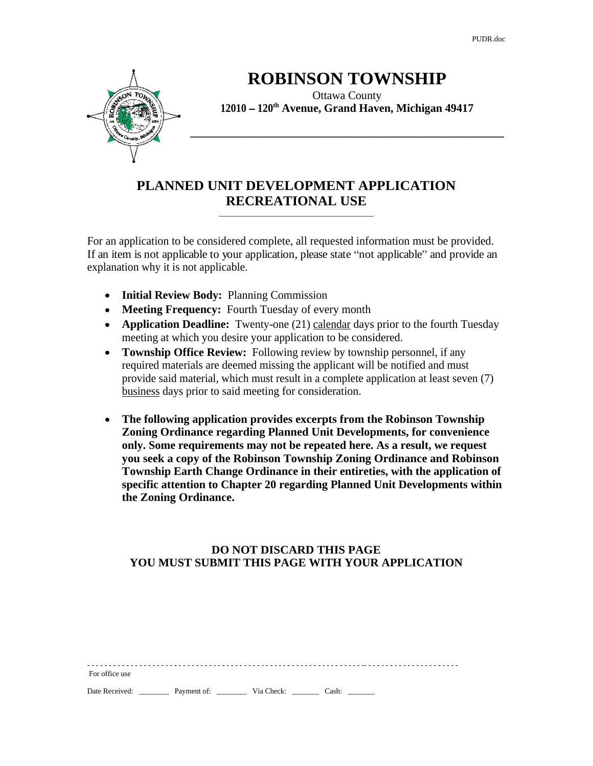PUDR.doc

**\_\_\_\_\_\_\_\_\_\_\_\_\_\_\_\_\_\_\_\_\_\_\_\_\_\_\_\_\_\_\_\_\_\_\_\_\_\_\_\_\_\_\_\_\_\_\_\_\_\_\_\_\_\_**



# **ROBINSON TOWNSHIP**

Ottawa County **12010 120th Avenue, Grand Haven, Michigan 49417**

### **PLANNED UNIT DEVELOPMENT APPLICATION RECREATIONAL USE** \_\_\_\_\_\_\_\_\_\_\_\_\_\_\_\_\_\_\_\_\_\_\_\_\_\_\_\_\_\_\_\_\_\_\_\_\_\_\_\_

For an application to be considered complete, all requested information must be provided. If an item is not applicable to your application, please state "not applicable" and provide an explanation why it is not applicable.

- **Initial Review Body:** Planning Commission
- **Meeting Frequency:** Fourth Tuesday of every month
- **Application Deadline:** Twenty-one (21) calendar days prior to the fourth Tuesday meeting at which you desire your application to be considered.
- **Township Office Review:** Following review by township personnel, if any required materials are deemed missing the applicant will be notified and must provide said material, which must result in a complete application at least seven (7) business days prior to said meeting for consideration.
- **The following application provides excerpts from the Robinson Township**   $\bullet$ **Zoning Ordinance regarding Planned Unit Developments, for convenience only. Some requirements may not be repeated here. As a result, we request you seek a copy of the Robinson Township Zoning Ordinance and Robinson Township Earth Change Ordinance in their entireties, with the application of specific attention to Chapter 20 regarding Planned Unit Developments within the Zoning Ordinance.**

## **DO NOT DISCARD THIS PAGE YOU MUST SUBMIT THIS PAGE WITH YOUR APPLICATION**

| ------------------------------<br>For office use |  |
|--------------------------------------------------|--|
|                                                  |  |
|                                                  |  |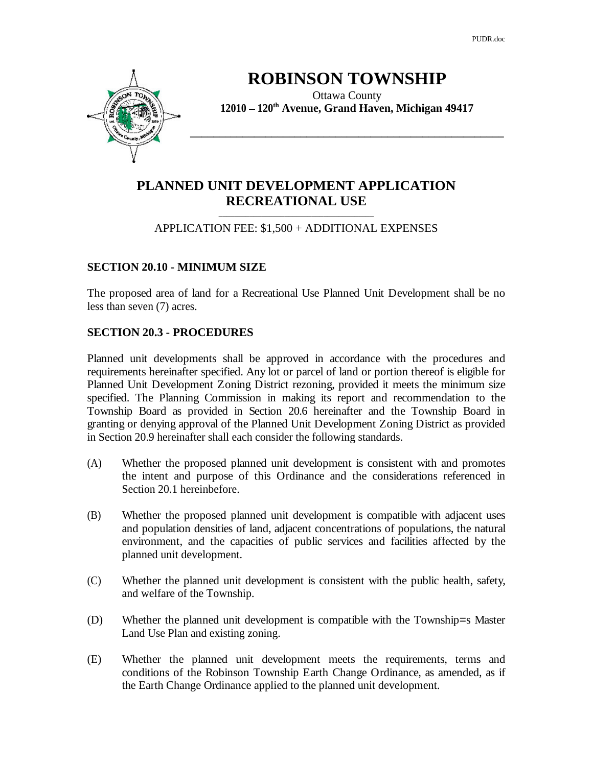PUDR.doc

 $\overline{\phantom{a}}$  , and the contract of the contract of the contract of the contract of the contract of the contract of the contract of the contract of the contract of the contract of the contract of the contract of the contrac



# **ROBINSON TOWNSHIP**

Ottawa County **12010 120th Avenue, Grand Haven, Michigan 49417**

# **PLANNED UNIT DEVELOPMENT APPLICATION RECREATIONAL USE**

### APPLICATION FEE: \$1,500 + ADDITIONAL EXPENSES

#### **SECTION 20.10 - MINIMUM SIZE**

The proposed area of land for a Recreational Use Planned Unit Development shall be no less than seven (7) acres.

#### **SECTION 20.3 - PROCEDURES**

Planned unit developments shall be approved in accordance with the procedures and requirements hereinafter specified. Any lot or parcel of land or portion thereof is eligible for Planned Unit Development Zoning District rezoning, provided it meets the minimum size specified. The Planning Commission in making its report and recommendation to the Township Board as provided in Section 20.6 hereinafter and the Township Board in granting or denying approval of the Planned Unit Development Zoning District as provided in Section 20.9 hereinafter shall each consider the following standards.

- (A) Whether the proposed planned unit development is consistent with and promotes the intent and purpose of this Ordinance and the considerations referenced in Section 20.1 hereinbefore.
- (B) Whether the proposed planned unit development is compatible with adjacent uses and population densities of land, adjacent concentrations of populations, the natural environment, and the capacities of public services and facilities affected by the planned unit development.
- (C) Whether the planned unit development is consistent with the public health, safety, and welfare of the Township.
- (D) Whether the planned unit development is compatible with the Township=s Master Land Use Plan and existing zoning.
- (E) Whether the planned unit development meets the requirements, terms and conditions of the Robinson Township Earth Change Ordinance, as amended, as if the Earth Change Ordinance applied to the planned unit development.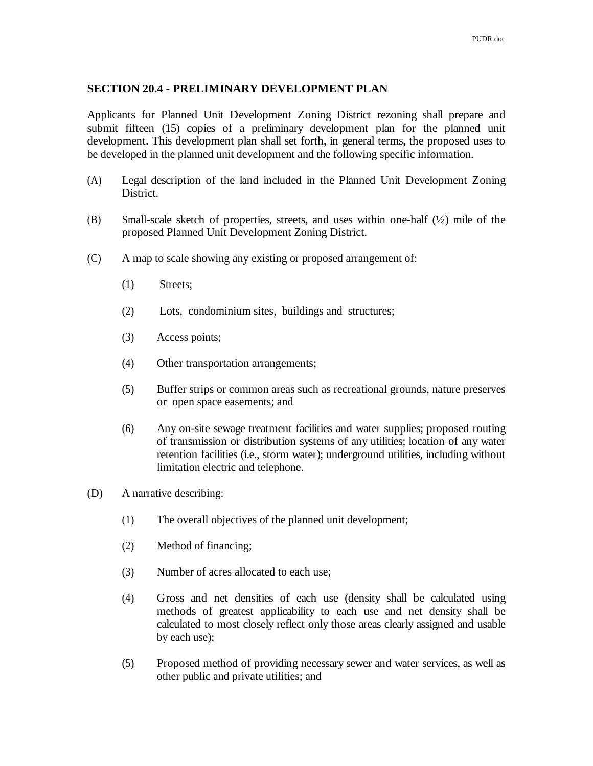#### **SECTION 20.4 - PRELIMINARY DEVELOPMENT PLAN**

Applicants for Planned Unit Development Zoning District rezoning shall prepare and submit fifteen (15) copies of a preliminary development plan for the planned unit development. This development plan shall set forth, in general terms, the proposed uses to be developed in the planned unit development and the following specific information.

- (A) Legal description of the land included in the Planned Unit Development Zoning District.
- (B) Small-scale sketch of properties, streets, and uses within one-half  $(\frac{1}{2})$  mile of the proposed Planned Unit Development Zoning District.
- (C) A map to scale showing any existing or proposed arrangement of:
	- (1) Streets;
	- (2) Lots, condominium sites, buildings and structures;
	- (3) Access points;
	- (4) Other transportation arrangements;
	- (5) Buffer strips or common areas such as recreational grounds, nature preserves or open space easements; and
	- (6) Any on-site sewage treatment facilities and water supplies; proposed routing of transmission or distribution systems of any utilities; location of any water retention facilities (i.e., storm water); underground utilities, including without limitation electric and telephone.
- (D) A narrative describing:
	- (1) The overall objectives of the planned unit development;
	- (2) Method of financing;
	- (3) Number of acres allocated to each use;
	- (4) Gross and net densities of each use (density shall be calculated using methods of greatest applicability to each use and net density shall be calculated to most closely reflect only those areas clearly assigned and usable by each use); the same state of  $\mathbf{L}$  is the same state of  $\mathbf{L}$
	- (5) Proposed method of providing necessary sewer and water services, as well as other public and private utilities; and